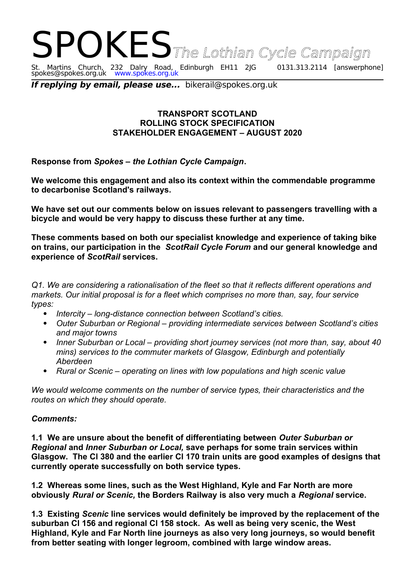# SPOKES The Lothian Cycle Campaign St. Martins Church, 232 Dalry Road, Edinburgh EH11 2JG 0131.313.2114 [answerphone] spokes@spokes.org.uk www.spokes.org.uk

**If replying by email, please use...** bikerail@spokes.org.uk

## **TRANSPORT SCOTLAND ROLLING STOCK SPECIFICATION STAKEHOLDER ENGAGEMENT – AUGUST 2020**

**Response from** *Spokes – the Lothian Cycle Campaign***.** 

**We welcome this engagement and also its context within the commendable programme to decarbonise Scotland's railways.**

**We have set out our comments below on issues relevant to passengers travelling with a bicycle and would be very happy to discuss these further at any time.** 

**These comments based on both our specialist knowledge and experience of taking bike on trains, our participation in the** *ScotRail Cycle Forum* **and our general knowledge and experience of** *ScotRail* **services.** 

*Q1. We are considering a rationalisation of the fleet so that it reflects different operations and markets. Our initial proposal is for a fleet which comprises no more than, say, four service types:* 

- *Intercity long-distance connection between Scotland's cities.*
- *Outer Suburban or Regional providing intermediate services between Scotland's cities and major towns*
- *Inner Suburban or Local providing short journey services (not more than, say, about 40 mins) services to the commuter markets of Glasgow, Edinburgh and potentially Aberdeen*
- *Rural or Scenic operating on lines with low populations and high scenic value*

*We would welcome comments on the number of service types, their characteristics and the routes on which they should operate.*

## *Comments:*

**1.1 We are unsure about the benefit of differentiating between** *Outer Suburban or Regional* **and** *Inner Suburban or Local,* **save perhaps for some train services within Glasgow. The Cl 380 and the earlier Cl 170 train units are good examples of designs that currently operate successfully on both service types.** 

**1.2 Whereas some lines, such as the West Highland, Kyle and Far North are more obviously** *Rural or Scenic,* **the Borders Railway is also very much a** *Regional* **service.** 

**1.3 Existing** *Scenic* **line services would definitely be improved by the replacement of the suburban Cl 156 and regional Cl 158 stock. As well as being very scenic, the West Highland, Kyle and Far North line journeys as also very long journeys, so would benefit from better seating with longer legroom, combined with large window areas.**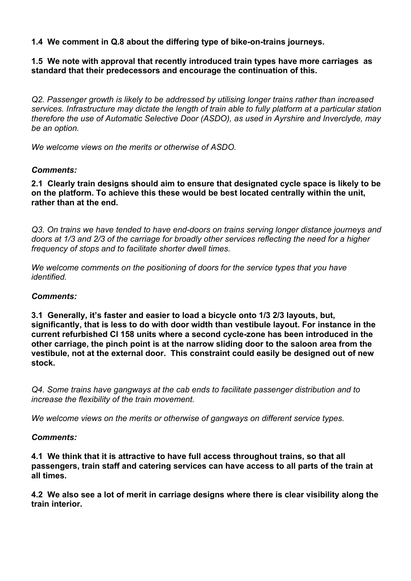**1.4 We comment in Q.8 about the differing type of bike-on-trains journeys.**

## **1.5 We note with approval that recently introduced train types have more carriages as standard that their predecessors and encourage the continuation of this.**

*Q2. Passenger growth is likely to be addressed by utilising longer trains rather than increased services. Infrastructure may dictate the length of train able to fully platform at a particular station therefore the use of Automatic Selective Door (ASDO), as used in Ayrshire and Inverclyde, may be an option.* 

*We welcome views on the merits or otherwise of ASDO.* 

## *Comments:*

**2.1 Clearly train designs should aim to ensure that designated cycle space is likely to be on the platform. To achieve this these would be best located centrally within the unit, rather than at the end.**

*Q3. On trains we have tended to have end-doors on trains serving longer distance journeys and doors at 1/3 and 2/3 of the carriage for broadly other services reflecting the need for a higher frequency of stops and to facilitate shorter dwell times.* 

*We welcome comments on the positioning of doors for the service types that you have identified.* 

## *Comments:*

**3.1 Generally, it's faster and easier to load a bicycle onto 1/3 2/3 layouts, but, significantly, that is less to do with door width than vestibule layout. For instance in the current refurbished Cl 158 units where a second cycle-zone has been introduced in the other carriage, the pinch point is at the narrow sliding door to the saloon area from the vestibule, not at the external door. This constraint could easily be designed out of new stock.**

*Q4. Some trains have gangways at the cab ends to facilitate passenger distribution and to increase the flexibility of the train movement.*

*We welcome views on the merits or otherwise of gangways on different service types.* 

## *Comments:*

**4.1 We think that it is attractive to have full access throughout trains, so that all passengers, train staff and catering services can have access to all parts of the train at all times.** 

**4.2 We also see a lot of merit in carriage designs where there is clear visibility along the train interior.**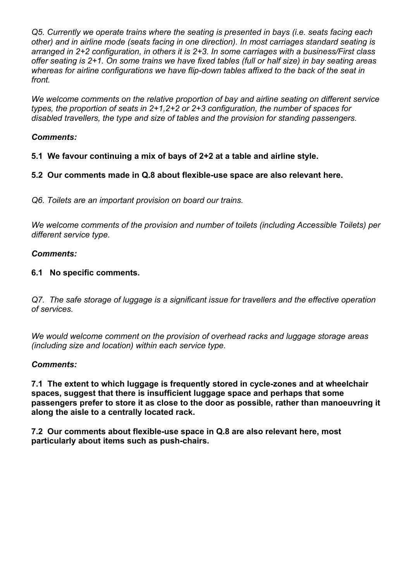*Q5. Currently we operate trains where the seating is presented in bays (i.e. seats facing each other) and in airline mode (seats facing in one direction). In most carriages standard seating is arranged in 2+2 configuration, in others it is 2+3. In some carriages with a business/First class offer seating is 2+1. On some trains we have fixed tables (full or half size) in bay seating areas whereas for airline configurations we have flip-down tables affixed to the back of the seat in front.*

*We welcome comments on the relative proportion of bay and airline seating on different service types, the proportion of seats in 2+1,2+2 or 2+3 configuration, the number of spaces for disabled travellers, the type and size of tables and the provision for standing passengers.*

# *Comments:*

**5.1 We favour continuing a mix of bays of 2+2 at a table and airline style.**

**5.2 Our comments made in Q.8 about flexible-use space are also relevant here.**

*Q6. Toilets are an important provision on board our trains.*

*We welcome comments of the provision and number of toilets (including Accessible Toilets) per different service type.*

## *Comments:*

## **6.1 No specific comments.**

*Q7. The safe storage of luggage is a significant issue for travellers and the effective operation of services.*

*We would welcome comment on the provision of overhead racks and luggage storage areas (including size and location) within each service type.*

## *Comments:*

**7.1 The extent to which luggage is frequently stored in cycle-zones and at wheelchair spaces, suggest that there is insufficient luggage space and perhaps that some passengers prefer to store it as close to the door as possible, rather than manoeuvring it along the aisle to a centrally located rack.**

**7.2 Our comments about flexible-use space in Q.8 are also relevant here, most particularly about items such as push-chairs.**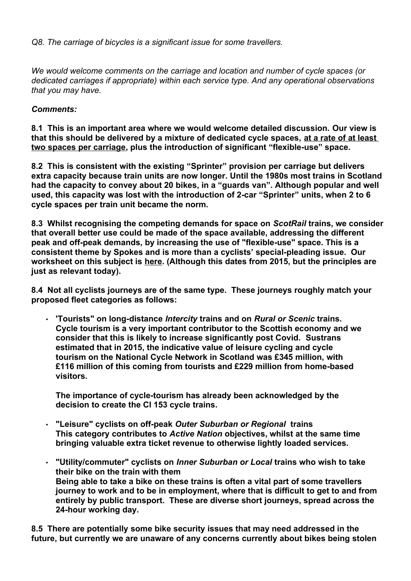*Q8. The carriage of bicycles is a significant issue for some travellers.*

*We would welcome comments on the carriage and location and number of cycle spaces (or dedicated carriages if appropriate) within each service type. And any operational observations that you may have.*

# *Comments:*

**8.1 This is an important area where we would welcome detailed discussion. Our view is that this should be delivered by a mixture of dedicated cycle spaces, at a rate of at least two spaces per carriage, plus the introduction of significant "flexible-use" space.** 

**8.2 This is consistent with the existing "Sprinter" provision per carriage but delivers extra capacity because train units are now longer. Until the 1980s most trains in Scotland had the capacity to convey about 20 bikes, in a "guards van". Although popular and well used, this capacity was lost with the introduction of 2-car "Sprinter" units, when 2 to 6 cycle spaces per train unit became the norm.** 

**8.3 Whilst recognising the competing demands for space on** *ScotRail* **trains, we consider that overall better use could be made of the space available, addressing the different peak and off-peak demands, by increasing the use of "flexible-use" space. This is a consistent theme by Spokes and is more than a cyclists' special-pleading issue. Our worksheet on this subject is [here.](http://www.spokes.org.uk/wp-content/uploads/2015/10/1511-04-Flexible-Space-v2-Ewan.pdf) (Although this dates from 2015, but the principles are just as relevant today).** 

**8.4 Not all cyclists journeys are of the same type. These journeys roughly match your proposed fleet categories as follows:**

• **'Tourists" on long-distance** *Intercity* **trains and on** *Rural or Scenic* **trains. Cycle tourism is a very important contributor to the Scottish economy and we consider that this is likely to increase significantly post Covid. Sustrans estimated that in 2015, the indicative value of leisure cycling and cycle tourism on the National Cycle Network in Scotland was £345 million, with £116 million of this coming from tourists and £229 million from home-based visitors.** 

**The importance of cycle-tourism has already been acknowledged by the decision to create the Cl 153 cycle trains.**

- **"Leisure" cyclists on off-peak** *Outer Suburban or Regional* **trains This category contributes to** *Active Nation* **objectives, whilst at the same time bringing valuable extra ticket revenue to otherwise lightly loaded services.**
- **"Utility/commuter" cyclists on** *Inner Suburban or Local* **trains who wish to take their bike on the train with them Being able to take a bike on these trains is often a vital part of some travellers journey to work and to be in employment, where that is difficult to get to and from entirely by public transport. These are diverse short journeys, spread across the 24-hour working day.**

**8.5 There are potentially some bike security issues that may need addressed in the future, but currently we are unaware of any concerns currently about bikes being stolen**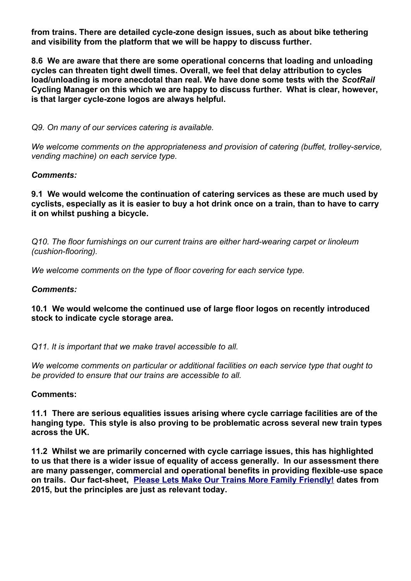**from trains. There are detailed cycle-zone design issues, such as about bike tethering and visibility from the platform that we will be happy to discuss further.**

**8.6 We are aware that there are some operational concerns that loading and unloading cycles can threaten tight dwell times. Overall, we feel that delay attribution to cycles load/unloading is more anecdotal than real. We have done some tests with the** *ScotRail*  **Cycling Manager on this which we are happy to discuss further. What is clear, however, is that larger cycle-zone logos are always helpful.** 

*Q9. On many of our services catering is available.*

*We welcome comments on the appropriateness and provision of catering (buffet, trolley-service, vending machine) on each service type.*

#### *Comments:*

**9.1 We would welcome the continuation of catering services as these are much used by cyclists, especially as it is easier to buy a hot drink once on a train, than to have to carry it on whilst pushing a bicycle.**

*Q10. The floor furnishings on our current trains are either hard-wearing carpet or linoleum (cushion-flooring).*

*We welcome comments on the type of floor covering for each service type.*

#### *Comments:*

## **10.1 We would welcome the continued use of large floor logos on recently introduced stock to indicate cycle storage area.**

*Q11. It is important that we make travel accessible to all.*

*We welcome comments on particular or additional facilities on each service type that ought to be provided to ensure that our trains are accessible to all.*

#### **Comments:**

**11.1 There are serious equalities issues arising where cycle carriage facilities are of the hanging type. This style is also proving to be problematic across several new train types across the UK.**

**11.2 Whilst we are primarily concerned with cycle carriage issues, this has highlighted to us that there is a wider issue of equality of access generally. In our assessment there are many passenger, commercial and operational benefits in providing flexible-use space on trails. Our fact-sheet, [Please Lets Make Our Trains More Family Friendly!](http://www.spokes.org.uk/wp-content/uploads/2015/10/1511-04-Flexible-Space-v2-Ewan.pdf) dates from 2015, but the principles are just as relevant today.**